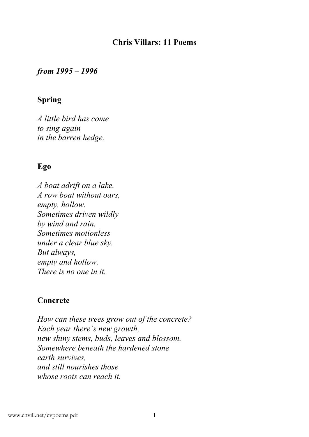### **Chris Villars: 11 Poems**

*from 1995 – 1996*

# **Spring**

*A little bird has come to sing again in the barren hedge.*

# **Ego**

*A boat adrift on a lake. A row boat without oars, empty, hollow. Sometimes driven wildly by wind and rain. Sometimes motionless under a clear blue sky. But always, empty and hollow. There is no one in it.*

# **Concrete**

*How can these trees grow out of the concrete? Each year there's new growth, new shiny stems, buds, leaves and blossom. Somewhere beneath the hardened stone earth survives, and still nourishes those whose roots can reach it.*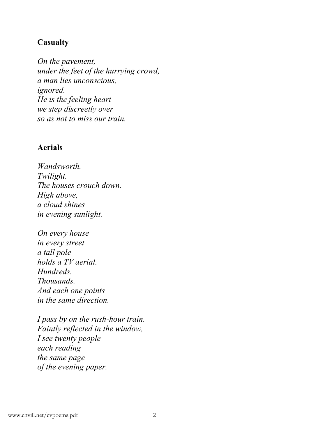# **Casualty**

*On the pavement, under the feet of the hurrying crowd, a man lies unconscious, ignored. He is the feeling heart we step discreetly over so as not to miss our train.*

#### **Aerials**

*Wandsworth. Twilight. The houses crouch down. High above, a cloud shines in evening sunlight.*

*On every house in every street a tall pole holds a TV aerial. Hundreds. Thousands. And each one points in the same direction.*

*I pass by on the rush-hour train. Faintly reflected in the window, I see twenty people each reading the same page of the evening paper.*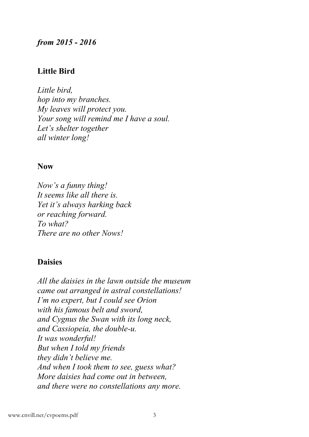#### *from 2015 - 2016*

#### **Little Bird**

*Little bird, hop into my branches. My leaves will protect you. Your song will remind me I have a soul. Let's shelter together all winter long!*

#### **Now**

*Now's a funny thing! It seems like all there is. Yet it's always harking back or reaching forward. To what? There are no other Nows!*

### **Daisies**

*All the daisies in the lawn outside the museum came out arranged in astral constellations! I'm no expert, but I could see Orion with his famous belt and sword, and Cygnus the Swan with its long neck, and Cassiopeia, the double-u. It was wonderful! But when I told my friends they didn't believe me. And when I took them to see, guess what? More daisies had come out in between, and there were no constellations any more.*